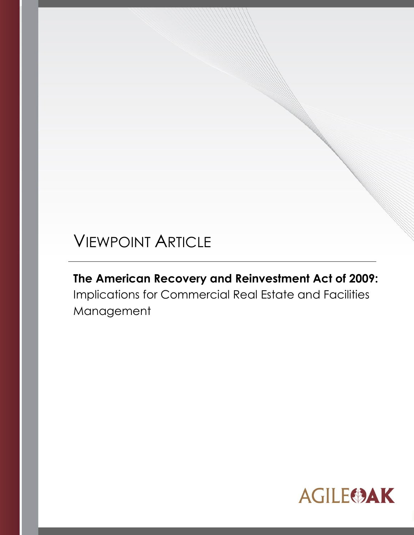# VIEWPOINT ARTICLE

**The American Recovery and Reinvestment Act of 2009:** Implications for Commercial Real Estate and Facilities Management

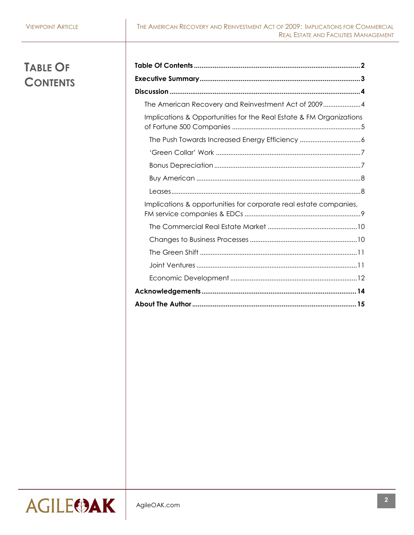## **TABLE OF CONTENTS**

| The American Recovery and Reinvestment Act of 20094                 |
|---------------------------------------------------------------------|
| Implications & Opportunities for the Real Estate & FM Organizations |
| The Push Towards Increased Energy Efficiency 6                      |
|                                                                     |
|                                                                     |
|                                                                     |
|                                                                     |
| Implications & opportunities for corporate real estate companies,   |
|                                                                     |
|                                                                     |
|                                                                     |
|                                                                     |
|                                                                     |
|                                                                     |
| About The Author…………………………………………………………………………………………15                |

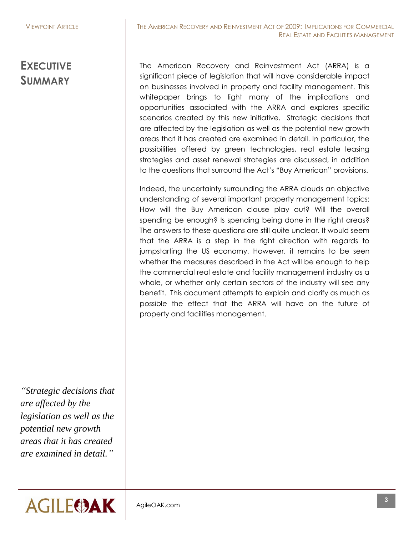The American Recovery and Reinvestment Act (ARRA) is a significant piece of legislation that will have considerable impact on businesses involved in property and facility management. This whitepaper brings to light many of the implications and opportunities associated with the ARRA and explores specific scenarios created by this new initiative. Strategic decisions that are affected by the legislation as well as the potential new growth areas that it has created are examined in detail. In particular, the possibilities offered by green technologies, real estate leasing strategies and asset renewal strategies are discussed, in addition to the questions that surround the Act"s "Buy American" provisions.

Indeed, the uncertainty surrounding the ARRA clouds an objective understanding of several important property management topics: How will the Buy American clause play out? Will the overall spending be enough? Is spending being done in the right areas? The answers to these questions are still quite unclear. It would seem that the ARRA is a step in the right direction with regards to jumpstarting the US economy. However, it remains to be seen whether the measures described in the Act will be enough to help the commercial real estate and facility management industry as a whole, or whether only certain sectors of the industry will see any benefit. This document attempts to explain and clarify as much as possible the effect that the ARRA will have on the future of property and facilities management.

*"Strategic decisions that are affected by the legislation as well as the potential new growth areas that it has created are examined in detail."* 

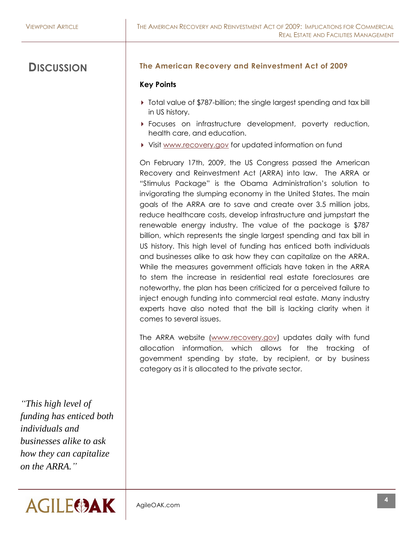### **DISCUSSION**

#### <span id="page-3-0"></span>**The American Recovery and Reinvestment Act of 2009**

#### **Key Points**

- Total value of \$787-billion; the single largest spending and tax bill in US history.
- Focuses on infrastructure development, poverty reduction, health care, and education.
- Visit [www.recovery.gov](http://www.recovery.gov/) for updated information on fund

On February 17th, 2009, the US Congress passed the American Recovery and Reinvestment Act (ARRA) into law. The ARRA or "Stimulus Package" is the Obama Administration"s solution to invigorating the slumping economy in the United States. The main goals of the ARRA are to save and create over 3.5 million jobs, reduce healthcare costs, develop infrastructure and jumpstart the renewable energy industry. The value of the package is \$787 billion, which represents the single largest spending and tax bill in US history. This high level of funding has enticed both individuals and businesses alike to ask how they can capitalize on the ARRA. While the measures government officials have taken in the ARRA to stem the increase in residential real estate foreclosures are noteworthy, the plan has been criticized for a perceived failure to inject enough funding into commercial real estate. Many industry experts have also noted that the bill is lacking clarity when it comes to several issues.

The ARRA website [\(www.recovery.gov\)](http://www.recovery.gov/) updates daily with fund allocation information, which allows for the tracking of government spending by state, by recipient, or by business category as it is allocated to the private sector.

*"This high level of funding has enticed both individuals and businesses alike to ask how they can capitalize on the ARRA."* 

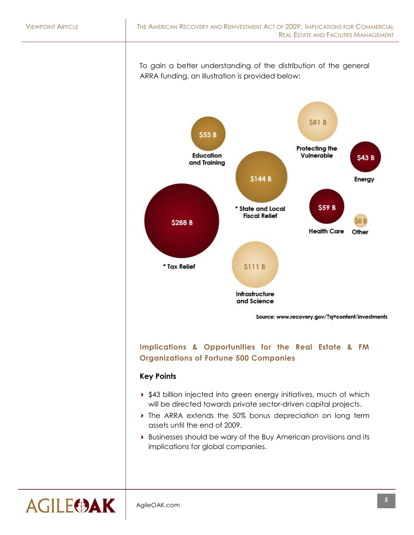To gain a better understanding of the distribution of the general ARRA funding, an illustration is provided below:



### <span id="page-4-0"></span>**Implications & Opportunities for the Real Estate & FM Organizations of Fortune 500 Companies**

#### **Key Points**

- ▶ \$43 billion injected into green energy initiatives, much of which will be directed towards private sector-driven capital projects.
- The ARRA extends the 50% bonus depreciation on long term assets until the end of 2009.
- Businesses should be wary of the Buy American provisions and its implications for global companies.

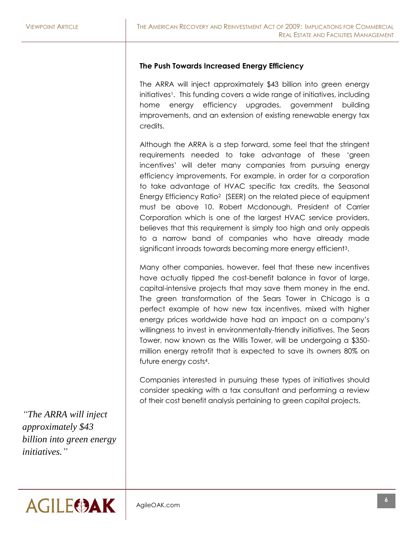#### <span id="page-5-0"></span>**The Push Towards Increased Energy Efficiency**

The ARRA will inject approximately \$43 billion into green energy initiatives<sup>1</sup>. This funding covers a wide range of initiatives, including home energy efficiency upgrades, government building improvements, and an extension of existing renewable energy tax credits.

Although the ARRA is a step forward, some feel that the stringent requirements needed to take advantage of these "green incentives" will deter many companies from pursuing energy efficiency improvements. For example, in order for a corporation to take advantage of HVAC specific tax credits, the Seasonal Energy Efficiency Ratio2 (SEER) on the related piece of equipment must be above 10. Robert Mcdonough, President of Carrier Corporation which is one of the largest HVAC service providers, believes that this requirement is simply too high and only appeals to a narrow band of companies who have already made significant inroads towards becoming more energy efficient<sup>3</sup>.

Many other companies, however, feel that these new incentives have actually tipped the cost-benefit balance in favor of large, capital-intensive projects that may save them money in the end. The green transformation of the Sears Tower in Chicago is a perfect example of how new tax incentives, mixed with higher energy prices worldwide have had an impact on a company"s willingness to invest in environmentally-friendly initiatives. The Sears Tower, now known as the Willis Tower, will be undergoing a \$350 million energy retrofit that is expected to save its owners 80% on future energy costs4.

Companies interested in pursuing these types of initiatives should consider speaking with a tax consultant and performing a review of their cost benefit analysis pertaining to green capital projects.

*"The ARRA will inject approximately \$43 billion into green energy initiatives."* 

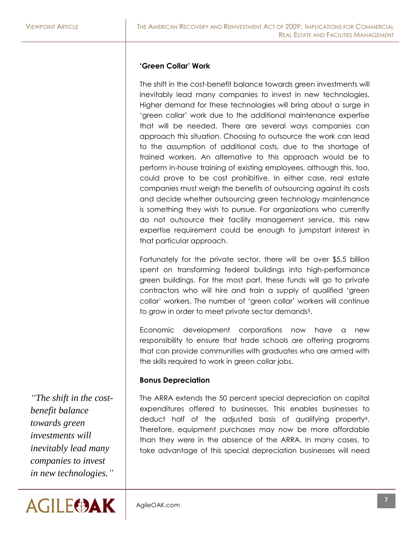#### <span id="page-6-0"></span>**"Green Collar" Work**

The shift in the cost-benefit balance towards green investments will inevitably lead many companies to invest in new technologies. Higher demand for these technologies will bring about a surge in "green collar" work due to the additional maintenance expertise that will be needed. There are several ways companies can approach this situation. Choosing to outsource the work can lead to the assumption of additional costs, due to the shortage of trained workers. An alternative to this approach would be to perform in-house training of existing employees, although this, too, could prove to be cost prohibitive. In either case, real estate companies must weigh the benefits of outsourcing against its costs and decide whether outsourcing green technology maintenance is something they wish to pursue. For organizations who currently do not outsource their facility management service, this new expertise requirement could be enough to jumpstart interest in that particular approach.

Fortunately for the private sector, there will be over \$5.5 billion spent on transforming federal buildings into high-performance green buildings. For the most part, these funds will go to private contractors who will hire and train a supply of qualified "green collar" workers. The number of "green collar" workers will continue to grow in order to meet private sector demands<sup>5</sup>.

Economic development corporations now have a new responsibility to ensure that trade schools are offering programs that can provide communities with graduates who are armed with the skills required to work in green collar jobs.

#### <span id="page-6-1"></span>**Bonus Depreciation**

The ARRA extends the 50 percent special depreciation on capital expenditures offered to businesses. This enables businesses to deduct half of the adjusted basis of qualifying property<sup>6</sup>. Therefore, equipment purchases may now be more affordable than they were in the absence of the ARRA. In many cases, to take advantage of this special depreciation businesses will need

*"The shift in the costbenefit balance towards green investments will inevitably lead many companies to invest in new technologies."* 

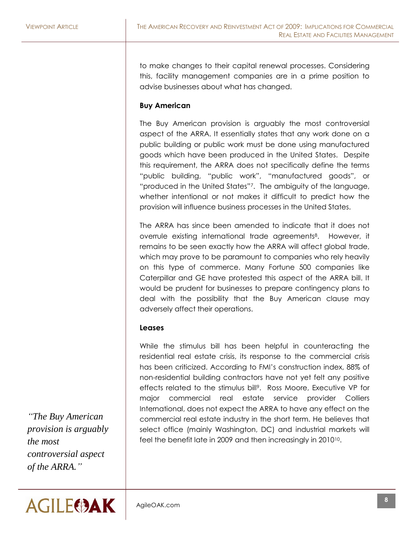to make changes to their capital renewal processes. Considering this, facility management companies are in a prime position to advise businesses about what has changed.

#### <span id="page-7-0"></span>**Buy American**

The Buy American provision is arguably the most controversial aspect of the ARRA. It essentially states that any work done on a public building or public work must be done using manufactured goods which have been produced in the United States. Despite this requirement, the ARRA does not specifically define the terms "public building, "public work", "manufactured goods", or "produced in the United States"7. The ambiguity of the language, whether intentional or not makes it difficult to predict how the provision will influence business processes in the United States.

The ARRA has since been amended to indicate that it does not overrule existing international trade agreements<sup>8</sup>. However, it remains to be seen exactly how the ARRA will affect global trade, which may prove to be paramount to companies who rely heavily on this type of commerce. Many Fortune 500 companies like Caterpillar and GE have protested this aspect of the ARRA bill. It would be prudent for businesses to prepare contingency plans to deal with the possibility that the Buy American clause may adversely affect their operations.

#### **Leases**

While the stimulus bill has been helpful in counteracting the residential real estate crisis, its response to the commercial crisis has been criticized. According to FMI"s construction index, 88% of non-residential building contractors have not yet felt any positive effects related to the stimulus bill<sup>9</sup>. Ross Moore, Executive VP for major commercial real estate service provider Colliers International, does not expect the ARRA to have any effect on the commercial real estate industry in the short term. He believes that select office (mainly Washington, DC) and industrial markets will feel the benefit late in 2009 and then increasingly in 2010<sup>10</sup>.

<span id="page-7-1"></span>*"The Buy American provision is arguably the most controversial aspect of the ARRA."* 

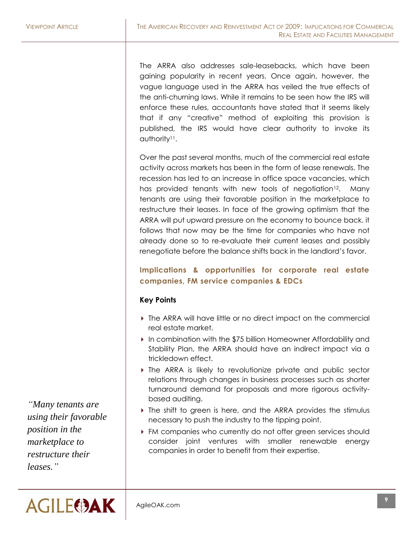The ARRA also addresses sale-leasebacks, which have been gaining popularity in recent years. Once again, however, the vague language used in the ARRA has veiled the true effects of the anti-churning laws. While it remains to be seen how the IRS will enforce these rules, accountants have stated that it seems likely that if any "creative" method of exploiting this provision is published, the IRS would have clear authority to invoke its authority11.

Over the past several months, much of the commercial real estate activity across markets has been in the form of lease renewals. The recession has led to an increase in office space vacancies, which has provided tenants with new tools of negotiation<sup>12</sup>. Many tenants are using their favorable position in the marketplace to restructure their leases. In face of the growing optimism that the ARRA will put upward pressure on the economy to bounce back. it follows that now may be the time for companies who have not already done so to re-evaluate their current leases and possibly renegotiate before the balance shifts back in the landlord"s favor.

### <span id="page-8-0"></span>**Implications & opportunities for corporate real estate companies, FM service companies & EDCs**

#### **Key Points**

- The ARRA will have little or no direct impact on the commercial real estate market.
- In combination with the \$75 billion Homeowner Affordability and Stability Plan, the ARRA should have an indirect impact via a trickledown effect.
- The ARRA is likely to revolutionize private and public sector relations through changes in business processes such as shorter turnaround demand for proposals and more rigorous activitybased auditing.
- The shift to green is here, and the ARRA provides the stimulus necessary to push the industry to the tipping point.
- FM companies who currently do not offer green services should consider joint ventures with smaller renewable energy companies in order to benefit from their expertise.

*"Many tenants are using their favorable position in the marketplace to restructure their leases."* 

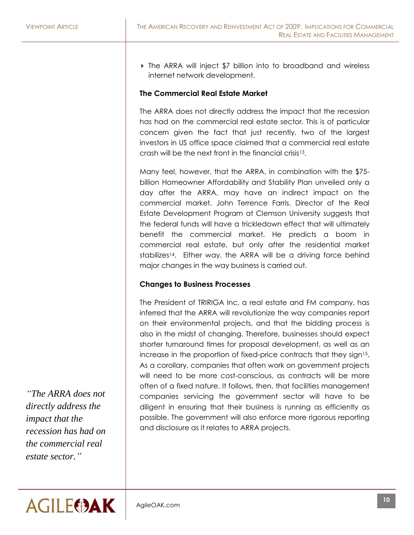The ARRA will inject \$7 billion into to broadband and wireless internet network development.

#### <span id="page-9-0"></span>**The Commercial Real Estate Market**

The ARRA does not directly address the impact that the recession has had on the commercial real estate sector. This is of particular concern given the fact that just recently, two of the largest investors in US office space claimed that a commercial real estate crash will be the next front in the financial crisis13.

Many feel, however, that the ARRA, in combination with the \$75 billion Homeowner Affordability and Stability Plan unveiled only a day after the ARRA, may have an indirect impact on the commercial market. John Terrence Farris, Director of the Real Estate Development Program at Clemson University suggests that the federal funds will have a trickledown effect that will ultimately benefit the commercial market. He predicts a boom in commercial real estate, but only after the residential market stabilizes<sup>14</sup>. Either way, the ARRA will be a driving force behind major changes in the way business is carried out.

#### <span id="page-9-1"></span>**Changes to Business Processes**

The President of TRIRIGA Inc, a real estate and FM company, has inferred that the ARRA will revolutionize the way companies report on their environmental projects, and that the bidding process is also in the midst of changing. Therefore, businesses should expect shorter turnaround times for proposal development, as well as an increase in the proportion of fixed-price contracts that they sign<sup>15</sup>. As a corollary, companies that often work on government projects will need to be more cost-conscious, as contracts will be more often of a fixed nature. It follows, then, that facilities management companies servicing the government sector will have to be diligent in ensuring that their business is running as efficiently as possible. The government will also enforce more rigorous reporting and disclosure as it relates to ARRA projects.

*"The ARRA does not directly address the impact that the recession has had on the commercial real estate sector."* 

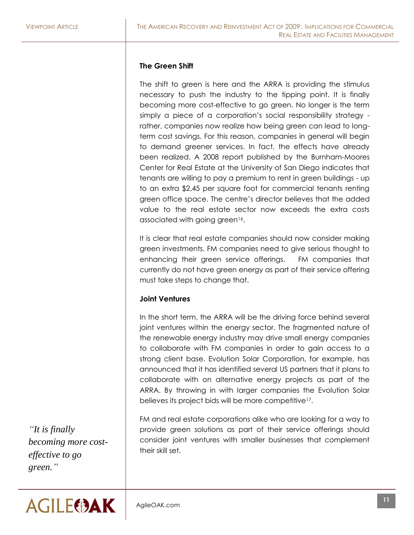#### <span id="page-10-0"></span>**The Green Shift**

The shift to green is here and the ARRA is providing the stimulus necessary to push the industry to the tipping point. It is finally becoming more cost-effective to go green. No longer is the term simply a piece of a corporation's social responsibility strategy rather, companies now realize how being green can lead to longterm cost savings. For this reason, companies in general will begin to demand greener services. In fact, the effects have already been realized. A 2008 report published by the Burnham-Moores Center for Real Estate at the University of San Diego indicates that tenants are willing to pay a premium to rent in green buildings - up to an extra \$2.45 per square foot for commercial tenants renting green office space. The centre"s director believes that the added value to the real estate sector now exceeds the extra costs associated with going green<sup>16</sup>.

It is clear that real estate companies should now consider making green investments. FM companies need to give serious thought to enhancing their green service offerings. FM companies that currently do not have green energy as part of their service offering must take steps to change that.

#### <span id="page-10-1"></span>**Joint Ventures**

In the short term, the ARRA will be the driving force behind several joint ventures within the energy sector. The fragmented nature of the renewable energy industry may drive small energy companies to collaborate with FM companies in order to gain access to a strong client base. Evolution Solar Corporation, for example, has announced that it has identified several US partners that it plans to collaborate with on alternative energy projects as part of the ARRA. By throwing in with larger companies the Evolution Solar believes its project bids will be more competitive<sup>17</sup>.

FM and real estate corporations alike who are looking for a way to provide green solutions as part of their service offerings should consider joint ventures with smaller businesses that complement their skill set.

*"It is finally becoming more costeffective to go green."* 

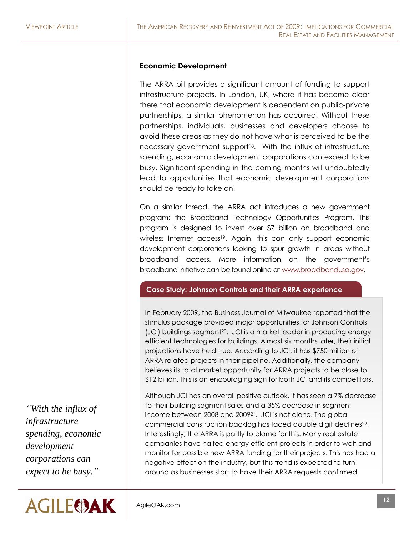#### <span id="page-11-0"></span>**Economic Development**

The ARRA bill provides a significant amount of funding to support infrastructure projects. In London, UK, where it has become clear there that economic development is dependent on public-private partnerships, a similar phenomenon has occurred. Without these partnerships, individuals, businesses and developers choose to avoid these areas as they do not have what is perceived to be the necessary government support<sup>18</sup>. With the influx of infrastructure spending, economic development corporations can expect to be busy. Significant spending in the coming months will undoubtedly lead to opportunities that economic development corporations should be ready to take on.

On a similar thread, the ARRA act introduces a new government program: the Broadband Technology Opportunities Program. This program is designed to invest over \$7 billion on broadband and wireless Internet access<sup>19</sup>. Again, this can only support economic development corporations looking to spur growth in areas without broadband access. More information on the government"s broadband initiative can be found online at www.broadbandusa.gov.

#### **Case Study: Johnson Controls and their ARRA experience**

In February 2009, the Business Journal of Milwaukee reported that the stimulus package provided major opportunities for Johnson Controls (JCI) buildings segment20. JCI is a market leader in producing energy efficient technologies for buildings. Almost six months later, their initial projections have held true. According to JCI, it has \$750 million of ARRA related projects in their pipeline. Additionally, the company believes its total market opportunity for ARRA projects to be close to \$12 billion. This is an encouraging sign for both JCI and its competitors.

Although JCI has an overall positive outlook, it has seen a 7% decrease to their building segment sales and a 35% decrease in segment income between 2008 and 200921. JCI is not alone. The global commercial construction backlog has faced double digit declines<sup>22</sup>. Interestingly, the ARRA is partly to blame for this. Many real estate companies have halted energy efficient projects in order to wait and monitor for possible new ARRA funding for their projects. This has had a negative effect on the industry, but this trend is expected to turn around as businesses start to have their ARRA requests confirmed.

*"With the influx of infrastructure spending, economic development corporations can expect to be busy."* 

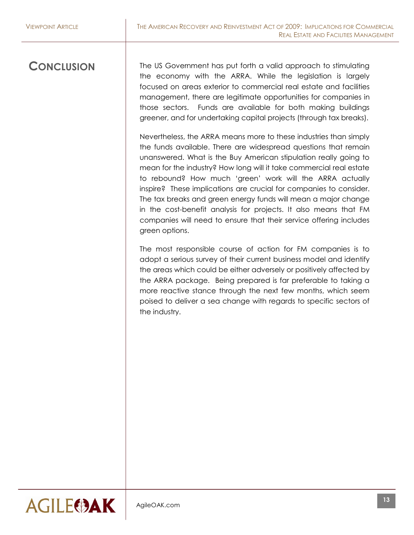### **CONCLUSION**

The US Government has put forth a valid approach to stimulating the economy with the ARRA. While the legislation is largely focused on areas exterior to commercial real estate and facilities management, there are legitimate opportunities for companies in those sectors. Funds are available for both making buildings greener, and for undertaking capital projects (through tax breaks).

Nevertheless, the ARRA means more to these industries than simply the funds available. There are widespread questions that remain unanswered. What is the Buy American stipulation really going to mean for the industry? How long will it take commercial real estate to rebound? How much "green" work will the ARRA actually inspire? These implications are crucial for companies to consider. The tax breaks and green energy funds will mean a major change in the cost-benefit analysis for projects. It also means that FM companies will need to ensure that their service offering includes green options.

The most responsible course of action for FM companies is to adopt a serious survey of their current business model and identify the areas which could be either adversely or positively affected by the ARRA package. Being prepared is far preferable to taking a more reactive stance through the next few months, which seem poised to deliver a sea change with regards to specific sectors of the industry.

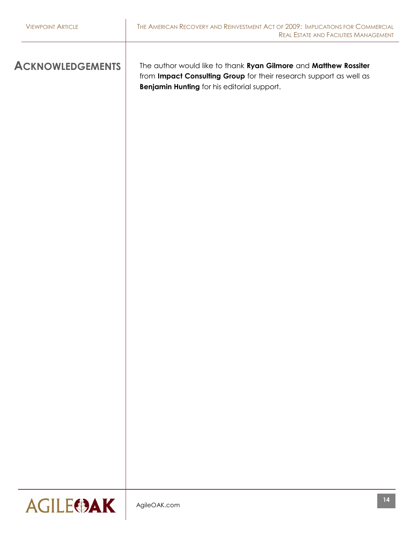### **ACKNOWLEDGEMENTS**

The author would like to thank **Ryan Gilmore** and **Matthew Rossiter**  from **Impact Consulting Group** for their research support as well as **Benjamin Hunting** for his editorial support.

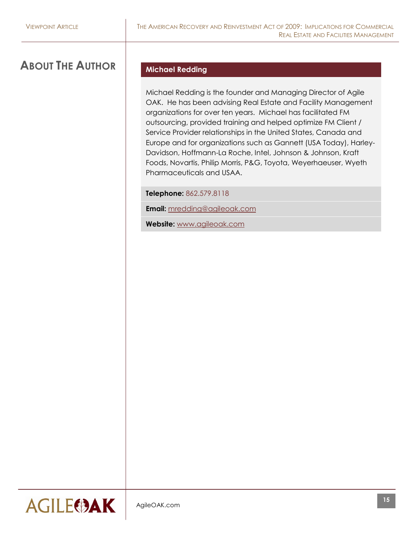### **ABOUT THE AUTHOR Michael Redding**

Michael Redding is the founder and Managing Director of Agile OAK. He has been advising Real Estate and Facility Management organizations for over ten years. Michael has facilitated FM outsourcing, provided training and helped optimize FM Client / Service Provider relationships in the United States, Canada and Europe and for organizations such as Gannett (USA Today), Harley-Davidson, Hoffmann-La Roche, Intel, Johnson & Johnson, Kraft Foods, Novartis, Philip Morris, P&G, Toyota, Weyerhaeuser, Wyeth Pharmaceuticals and USAA.

**Telephone:** 862.579.8118

**Email:** [mredding@agileoak.com](mailto:mredding@agileoak.com)

**Website:** [www.agileoak.com](http://www.agileoak.com/)

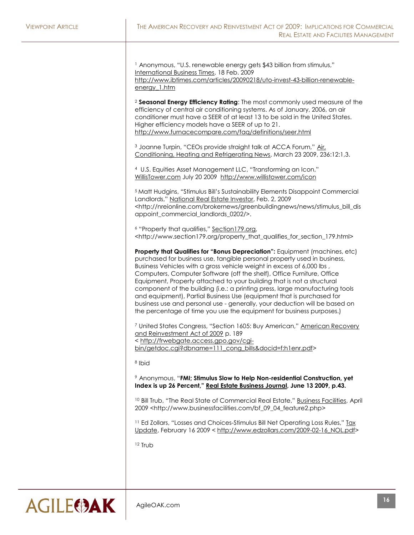<sup>1</sup> Anonymous, "U.S. renewable energy gets \$43 billion from stimulus," International Business Times, 18 Feb. 2009 [http://www.ibtimes.com/articles/20090218/uto-invest-43-billion-renewable](http://www.ibtimes.com/articles/20090218/uto-invest-43-billion-renewable-energy_1.htm)[energy\\_1.htm](http://www.ibtimes.com/articles/20090218/uto-invest-43-billion-renewable-energy_1.htm)

<sup>2</sup> **Seasonal Energy Efficiency Rating**: The most commonly used measure of the efficiency of central air conditioning systems. As of January, 2006, an air conditioner must have a SEER of at least 13 to be sold in the United States. Higher efficiency models have a SEER of up to 21. <http://www.furnacecompare.com/faq/definitions/seer.html>

<sup>3</sup> Joanne Turpin, "CEOs provide straight talk at ACCA Forum," Air, Conditioning, Heating and Refrigerating News, March 23 2009, 236:12:1,3.

4 U.S. Equities Asset Management LLC, "Transforming an Icon," WillisTower.com July 20 2009 <http://www.willistower.com/icon>

<sup>5</sup> Matt Hudgins, "Stimulus Bill"s Sustainability Elements Disappoint Commercial Landlords," National Real Estate Investor, Feb. 2, 2009 <http://nreionline.com/brokernews/greenbuildingnews/news/stimulus\_bill\_dis appoint\_commercial\_landlords\_0202/>.

<sup>6</sup> "Property that qualifies," Section179.org, <http://www.section179.org/property\_that\_qualifies\_for\_section\_179.html>

**Property that Qualifies for "Bonus Depreciation":** Equipment (machines, etc) purchased for business use, tangible personal property used in business, Business Vehicles with a gross vehicle weight in excess of 6,000 lbs , Computers, Computer Software (off the shelf), Office Furniture, Office Equipment, Property attached to your building that is not a structural component of the building (i.e.: a printing press, large manufacturing tools and equipment), Partial Business Use (equipment that is purchased for business use and personal use - generally, your deduction will be based on the percentage of time you use the equipment for business purposes.)

<sup>7</sup> United States Congress, "Section 1605: Buy American," American Recovery and Reinvestment Act of 2009 p. 189 [< http://frwebgate.access.gpo.gov/cgi](http://frwebgate.access.gpo.gov/cgi-bin/getdoc.cgi?dbname=111_cong_bills&docid=f:h1enr.pdf)[bin/getdoc.cgi?dbname=111\\_cong\\_bills&docid=f:h1enr.pdf>](http://frwebgate.access.gpo.gov/cgi-bin/getdoc.cgi?dbname=111_cong_bills&docid=f:h1enr.pdf)

8 Ibid

<sup>9</sup> Anonymous, "**FMI; Stimulus Slow to Help Non-residential Construction, yet Index is up 26 Percent," Real Estate Business Journal, June 13 2009, p.43.**

<sup>10</sup> Bill Trub, "The Real State of Commercial Real Estate," Business Facilities, April 2009 [<http://www.businessfacilities.com/bf\\_09\\_04\\_feature2.php>](http://www.businessfacilities.com/bf_09_04_feature2.php)

<sup>11</sup> Ed Zollars, "Losses and Choices-Stimulus Bill Net Operating Loss Rules," Tax Update, February 16 2009 < [http://www.edzollars.com/2009-02-16\\_NOL.pdf>](http://www.edzollars.com/2009-02-16_NOL.pdf)

<sup>12</sup> Trub